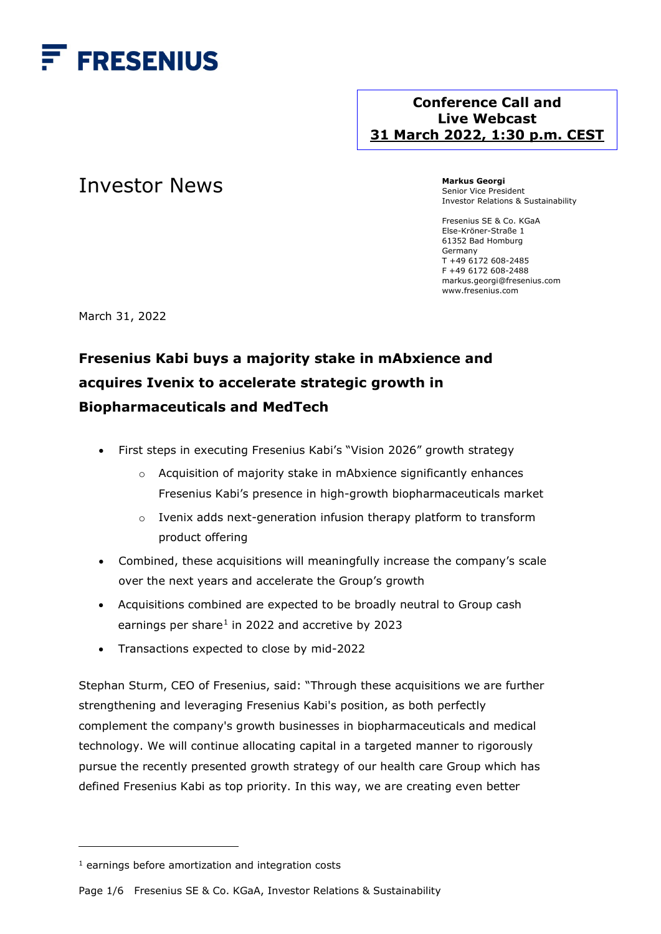

## **Conference Call and Live Webcast 31 March 2022, 1:30 p.m. CEST**

# Investor News

**Markus Georgi** Senior Vice President Investor Relations & Sustainability

Fresenius SE & Co. KGaA Else-Kröner-Straße 1 61352 Bad Homburg Germany T +49 6172 608-2485 F +49 6172 608-2488 markus.georgi@fresenius.com www.fresenius.com

March 31, 2022

# **Fresenius Kabi buys a majority stake in mAbxience and acquires Ivenix to accelerate strategic growth in Biopharmaceuticals and MedTech**

- First steps in executing Fresenius Kabi's "Vision 2026" growth strategy
	- o Acquisition of majority stake in mAbxience significantly enhances Fresenius Kabi's presence in high-growth biopharmaceuticals market
	- o Ivenix adds next-generation infusion therapy platform to transform product offering
- Combined, these acquisitions will meaningfully increase the company's scale over the next years and accelerate the Group's growth
- Acquisitions combined are expected to be broadly neutral to Group cash earnings per share<sup>[1](#page-0-0)</sup> in 2022 and accretive by 2023
- Transactions expected to close by mid-2022

Stephan Sturm, CEO of Fresenius, said: "Through these acquisitions we are further strengthening and leveraging Fresenius Kabi's position, as both perfectly complement the company's growth businesses in biopharmaceuticals and medical technology. We will continue allocating capital in a targeted manner to rigorously pursue the recently presented growth strategy of our health care Group which has defined Fresenius Kabi as top priority. In this way, we are creating even better

Page 1/6 Fresenius SE & Co. KGaA, Investor Relations & Sustainability

<span id="page-0-0"></span> $1$  earnings before amortization and integration costs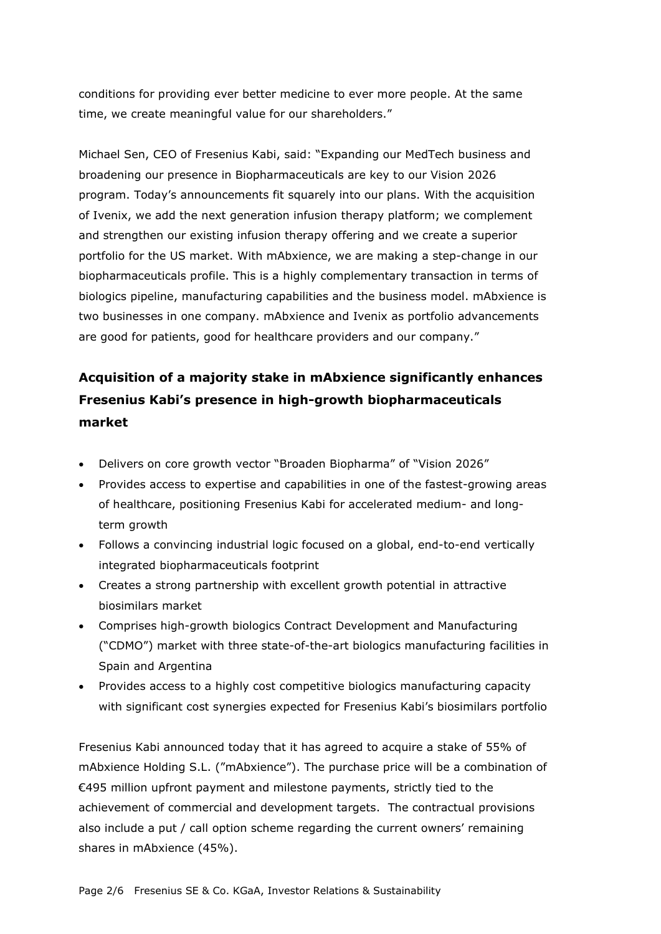conditions for providing ever better medicine to ever more people. At the same time, we create meaningful value for our shareholders."

Michael Sen, CEO of Fresenius Kabi, said: "Expanding our MedTech business and broadening our presence in Biopharmaceuticals are key to our Vision 2026 program. Today's announcements fit squarely into our plans. With the acquisition of Ivenix, we add the next generation infusion therapy platform; we complement and strengthen our existing infusion therapy offering and we create a superior portfolio for the US market. With mAbxience, we are making a step-change in our biopharmaceuticals profile. This is a highly complementary transaction in terms of biologics pipeline, manufacturing capabilities and the business model. mAbxience is two businesses in one company. mAbxience and Ivenix as portfolio advancements are good for patients, good for healthcare providers and our company."

## **Acquisition of a majority stake in mAbxience significantly enhances Fresenius Kabi's presence in high-growth biopharmaceuticals market**

- Delivers on core growth vector "Broaden Biopharma" of "Vision 2026"
- Provides access to expertise and capabilities in one of the fastest-growing areas of healthcare, positioning Fresenius Kabi for accelerated medium- and longterm growth
- Follows a convincing industrial logic focused on a global, end-to-end vertically integrated biopharmaceuticals footprint
- Creates a strong partnership with excellent growth potential in attractive biosimilars market
- Comprises high-growth biologics Contract Development and Manufacturing ("CDMO") market with three state-of-the-art biologics manufacturing facilities in Spain and Argentina
- Provides access to a highly cost competitive biologics manufacturing capacity with significant cost synergies expected for Fresenius Kabi's biosimilars portfolio

Fresenius Kabi announced today that it has agreed to acquire a stake of 55% of mAbxience Holding S.L. ("mAbxience"). The purchase price will be a combination of €495 million upfront payment and milestone payments, strictly tied to the achievement of commercial and development targets. The contractual provisions also include a put / call option scheme regarding the current owners' remaining shares in mAbxience (45%).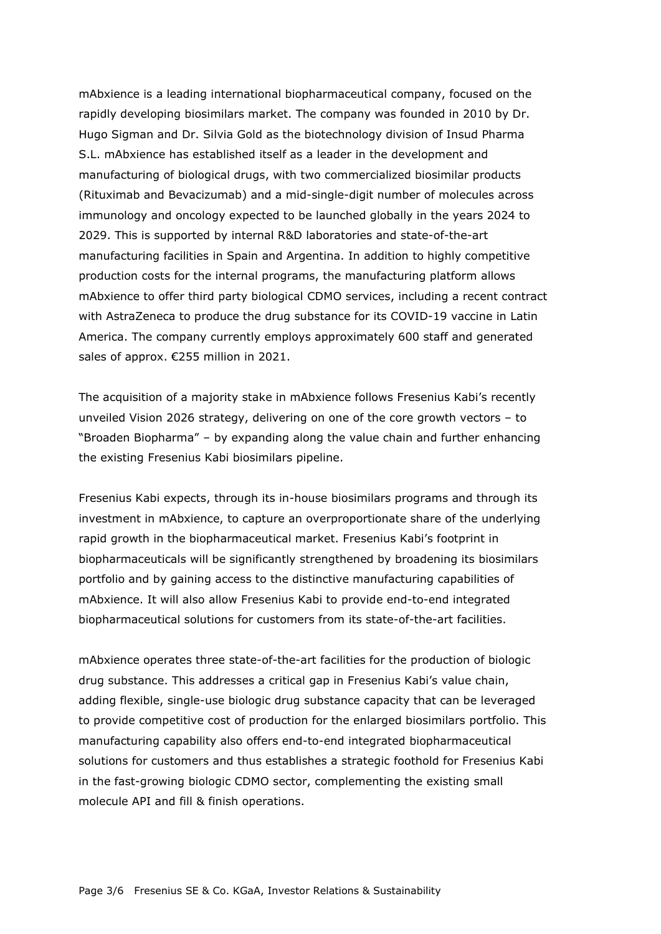mAbxience is a leading international biopharmaceutical company, focused on the rapidly developing biosimilars market. The company was founded in 2010 by Dr. Hugo Sigman and Dr. Silvia Gold as the biotechnology division of Insud Pharma S.L. mAbxience has established itself as a leader in the development and manufacturing of biological drugs, with two commercialized biosimilar products (Rituximab and Bevacizumab) and a mid-single-digit number of molecules across immunology and oncology expected to be launched globally in the years 2024 to 2029. This is supported by internal R&D laboratories and state-of-the-art manufacturing facilities in Spain and Argentina. In addition to highly competitive production costs for the internal programs, the manufacturing platform allows mAbxience to offer third party biological CDMO services, including a recent contract with AstraZeneca to produce the drug substance for its COVID-19 vaccine in Latin America. The company currently employs approximately 600 staff and generated sales of approx. €255 million in 2021.

The acquisition of a majority stake in mAbxience follows Fresenius Kabi's recently unveiled Vision 2026 strategy, delivering on one of the core growth vectors – to "Broaden Biopharma" – by expanding along the value chain and further enhancing the existing Fresenius Kabi biosimilars pipeline.

Fresenius Kabi expects, through its in-house biosimilars programs and through its investment in mAbxience, to capture an overproportionate share of the underlying rapid growth in the biopharmaceutical market. Fresenius Kabi's footprint in biopharmaceuticals will be significantly strengthened by broadening its biosimilars portfolio and by gaining access to the distinctive manufacturing capabilities of mAbxience. It will also allow Fresenius Kabi to provide end-to-end integrated biopharmaceutical solutions for customers from its state-of-the-art facilities.

mAbxience operates three state-of-the-art facilities for the production of biologic drug substance. This addresses a critical gap in Fresenius Kabi's value chain, adding flexible, single-use biologic drug substance capacity that can be leveraged to provide competitive cost of production for the enlarged biosimilars portfolio. This manufacturing capability also offers end-to-end integrated biopharmaceutical solutions for customers and thus establishes a strategic foothold for Fresenius Kabi in the fast-growing biologic CDMO sector, complementing the existing small molecule API and fill & finish operations.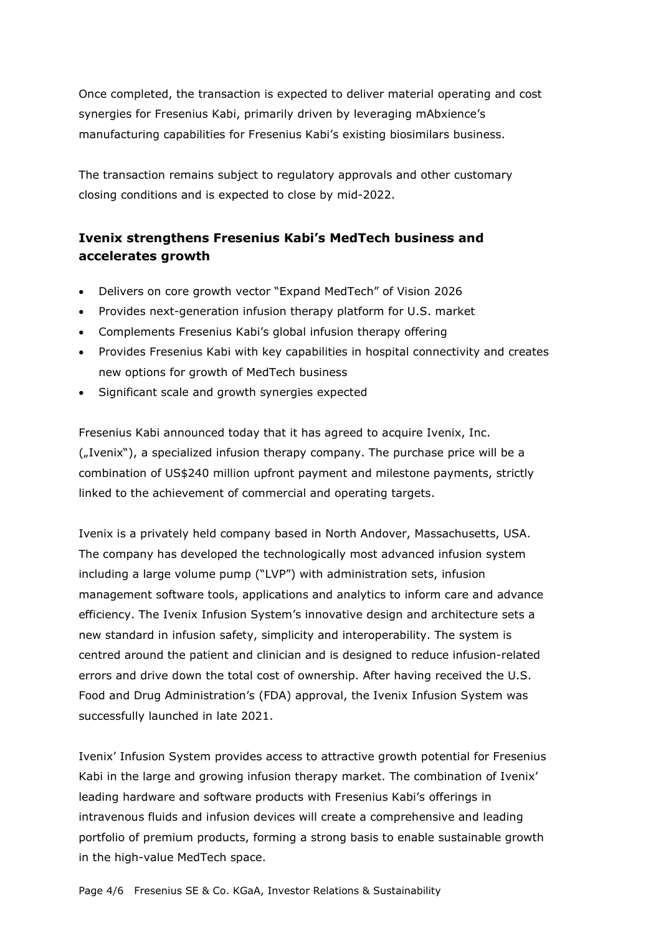Once completed, the transaction is expected to deliver material operating and cost synergies for Fresenius Kabi, primarily driven by leveraging mAbxience's manufacturing capabilities for Fresenius Kabi's existing biosimilars business.

The transaction remains subject to regulatory approvals and other customary closing conditions and is expected to close by mid-2022.

### **Ivenix strengthens Fresenius Kabi's MedTech business and accelerates growth**

- Delivers on core growth vector "Expand MedTech" of Vision 2026
- Provides next-generation infusion therapy platform for U.S. market
- Complements Fresenius Kabi's global infusion therapy offering
- Provides Fresenius Kabi with key capabilities in hospital connectivity and creates new options for growth of MedTech business
- Significant scale and growth synergies expected

Fresenius Kabi announced today that it has agreed to acquire Ivenix, Inc. ("Ivenix"), a specialized infusion therapy company. The purchase price will be a combination of US\$240 million upfront payment and milestone payments, strictly linked to the achievement of commercial and operating targets.

Ivenix is a privately held company based in North Andover, Massachusetts, USA. The company has developed the technologically most advanced infusion system including a large volume pump ("LVP") with administration sets, infusion management software tools, applications and analytics to inform care and advance efficiency. The Ivenix Infusion System's innovative design and architecture sets a new standard in infusion safety, simplicity and interoperability. The system is centred around the patient and clinician and is designed to reduce infusion-related errors and drive down the total cost of ownership. After having received the U.S. Food and Drug Administration's (FDA) approval, the Ivenix Infusion System was successfully launched in late 2021.

Ivenix' Infusion System provides access to attractive growth potential for Fresenius Kabi in the large and growing infusion therapy market. The combination of Ivenix' leading hardware and software products with Fresenius Kabi's offerings in intravenous fluids and infusion devices will create a comprehensive and leading portfolio of premium products, forming a strong basis to enable sustainable growth in the high-value MedTech space.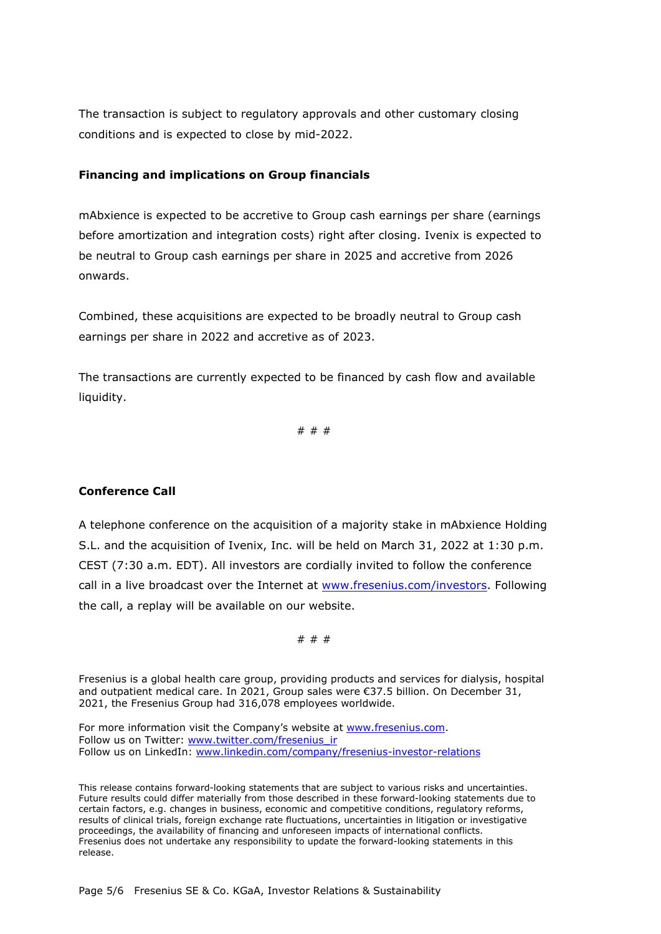The transaction is subject to regulatory approvals and other customary closing conditions and is expected to close by mid-2022.

### **Financing and implications on Group financials**

mAbxience is expected to be accretive to Group cash earnings per share (earnings before amortization and integration costs) right after closing. Ivenix is expected to be neutral to Group cash earnings per share in 2025 and accretive from 2026 onwards.

Combined, these acquisitions are expected to be broadly neutral to Group cash earnings per share in 2022 and accretive as of 2023.

The transactions are currently expected to be financed by cash flow and available liquidity.

# # #

#### **Conference Call**

A telephone conference on the acquisition of a majority stake in mAbxience Holding S.L. and the acquisition of Ivenix, Inc. will be held on March 31, 2022 at 1:30 p.m. CEST (7:30 a.m. EDT). All investors are cordially invited to follow the conference call in a live broadcast over the Internet at [www.fresenius.com/investors.](http://www.fresenius.com/investors) Following the call, a replay will be available on our website.

# # #

Fresenius is a global health care group, providing products and services for dialysis, hospital and outpatient medical care. In 2021, Group sales were €37.5 billion. On December 31, 2021, the Fresenius Group had 316,078 employees worldwide.

For more information visit the Company's website at [www.fresenius.com.](http://www.fresenius.com/) Follow us on Twitter: [www.twitter.com/fresenius\\_ir](http://www.twitter.com/fresenius_ir) Follow us on LinkedIn: [www.linkedin.com/company/fresenius-investor-relations](http://www.linkedin.com/company/fresenius-investor-relations)

This release contains forward-looking statements that are subject to various risks and uncertainties. Future results could differ materially from those described in these forward-looking statements due to certain factors, e.g. changes in business, economic and competitive conditions, regulatory reforms, results of clinical trials, foreign exchange rate fluctuations, uncertainties in litigation or investigative proceedings, the availability of financing and unforeseen impacts of international conflicts. Fresenius does not undertake any responsibility to update the forward-looking statements in this release.